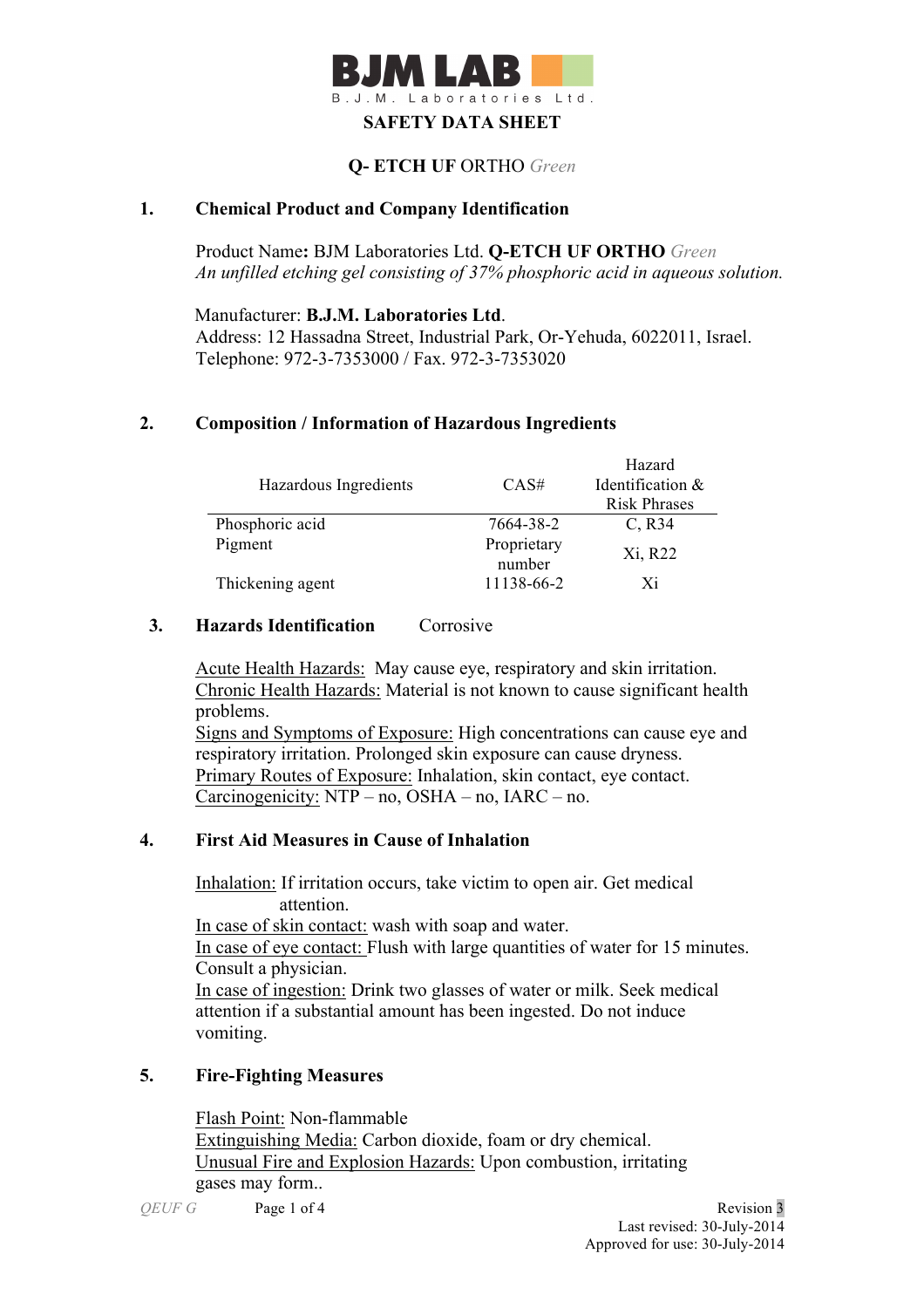

# **Q- ETCH UF** ORTHO *Green*

### **1. Chemical Product and Company Identification**

Product Name**:** BJM Laboratories Ltd. **Q-ETCH UF ORTHO** *Green An unfilled etching gel consisting of 37% phosphoric acid in aqueous solution.*

Manufacturer: **B.J.M. Laboratories Ltd**. Address: 12 Hassadna Street, Industrial Park, Or-Yehuda, 6022011, Israel. Telephone: 972-3-7353000 / Fax. 972-3-7353020

# **2. Composition / Information of Hazardous Ingredients**

|                       |             | Hazard              |  |
|-----------------------|-------------|---------------------|--|
| Hazardous Ingredients | CAS#        | Identification &    |  |
|                       |             | <b>Risk Phrases</b> |  |
| Phosphoric acid       | 7664-38-2   | $C$ , R34           |  |
| Pigment               | Proprietary | Xi, R22             |  |
|                       | number      |                     |  |
| Thickening agent      | 11138-66-2  | Xi                  |  |

### **3. Hazards Identification** Corrosive

Acute Health Hazards: May cause eye, respiratory and skin irritation. Chronic Health Hazards: Material is not known to cause significant health problems.

Signs and Symptoms of Exposure: High concentrations can cause eye and respiratory irritation. Prolonged skin exposure can cause dryness. Primary Routes of Exposure: Inhalation, skin contact, eye contact. Carcinogenicity: NTP – no, OSHA – no, IARC – no.

### **4. First Aid Measures in Cause of Inhalation**

 Inhalation: If irritation occurs, take victim to open air. Get medical attention. In case of skin contact: wash with soap and water. In case of eye contact: Flush with large quantities of water for 15 minutes. Consult a physician. In case of ingestion: Drink two glasses of water or milk. Seek medical attention if a substantial amount has been ingested. Do not induce vomiting.

### **5. Fire-Fighting Measures**

Flash Point: Non-flammable Extinguishing Media: Carbon dioxide, foam or dry chemical. Unusual Fire and Explosion Hazards: Upon combustion, irritating gases may form..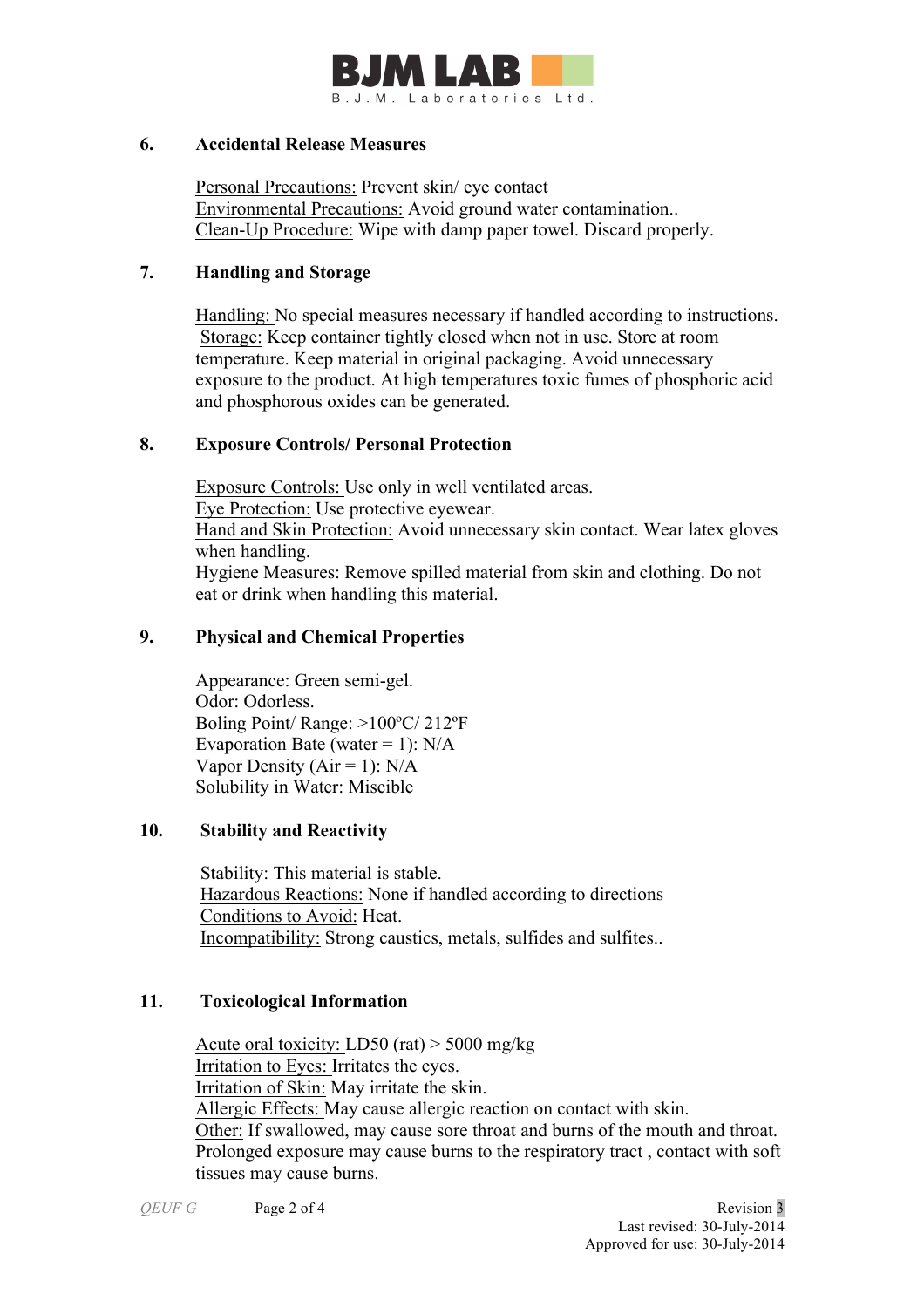

#### **6. Accidental Release Measures**

Personal Precautions: Prevent skin/ eye contact Environmental Precautions: Avoid ground water contamination.. Clean-Up Procedure: Wipe with damp paper towel. Discard properly.

### **7. Handling and Storage**

 Handling: No special measures necessary if handled according to instructions. Storage: Keep container tightly closed when not in use. Store at room temperature. Keep material in original packaging. Avoid unnecessary exposure to the product. At high temperatures toxic fumes of phosphoric acid and phosphorous oxides can be generated.

# **8. Exposure Controls/ Personal Protection**

 Exposure Controls: Use only in well ventilated areas. Eye Protection: Use protective eyewear. Hand and Skin Protection: Avoid unnecessary skin contact. Wear latex gloves when handling. Hygiene Measures: Remove spilled material from skin and clothing. Do not eat or drink when handling this material.

# **9. Physical and Chemical Properties**

Appearance: Green semi-gel. Odor: Odorless. Boling Point/ Range: >100ºC/ 212ºF Evaporation Bate (water = 1):  $N/A$ Vapor Density ( $Air = 1$ ):  $N/A$ Solubility in Water: Miscible

# **10. Stability and Reactivity**

 Stability: This material is stable. Hazardous Reactions: None if handled according to directions Conditions to Avoid: Heat. Incompatibility: Strong caustics, metals, sulfides and sulfites..

# **11. Toxicological Information**

Acute oral toxicity: LD50 (rat) > 5000 mg/kg Irritation to Eyes: Irritates the eyes. Irritation of Skin: May irritate the skin. Allergic Effects: May cause allergic reaction on contact with skin. Other: If swallowed, may cause sore throat and burns of the mouth and throat. Prolonged exposure may cause burns to the respiratory tract , contact with soft tissues may cause burns.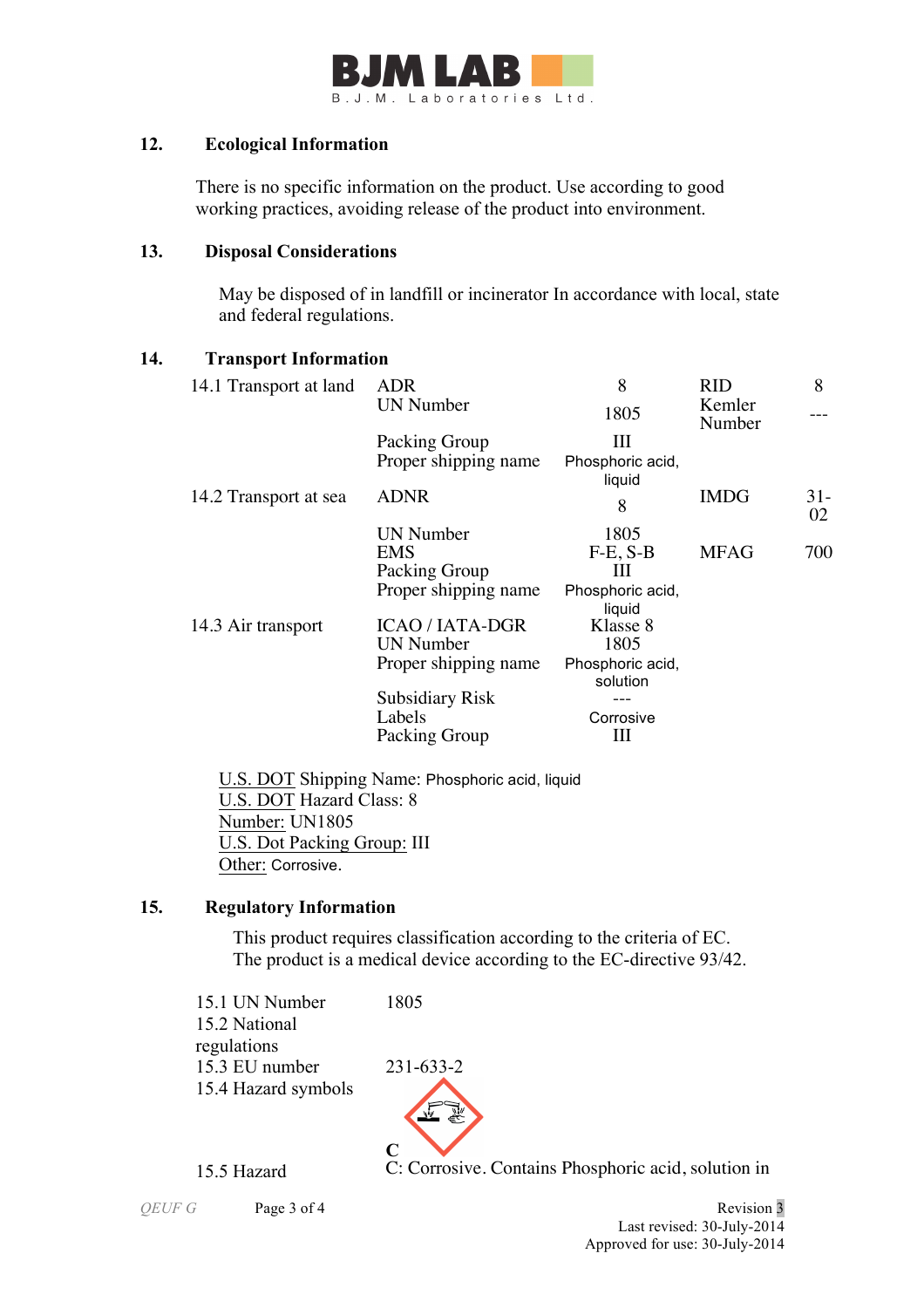

### **12. Ecological Information**

There is no specific information on the product. Use according to good working practices, avoiding release of the product into environment.

### **13. Disposal Considerations**

 May be disposed of in landfill or incinerator In accordance with local, state and federal regulations.

# **14. Transport Information**

| <b>ADR</b>             | 8                            | <b>RID</b>  | 8                     |
|------------------------|------------------------------|-------------|-----------------------|
| <b>UN Number</b>       | 1805                         | Kemler      |                       |
| Packing Group          | Ш                            |             |                       |
| Proper shipping name   | Phosphoric acid,             |             |                       |
|                        | liquid                       |             |                       |
|                        | 8                            |             | $31-$<br>02           |
| <b>UN Number</b>       | 1805                         |             |                       |
| EMS.                   | $F-E, S-B$                   | <b>MFAG</b> | 700                   |
| Packing Group          | ш                            |             |                       |
| Proper shipping name   | Phosphoric acid,<br>liquid   |             |                       |
| <b>ICAO / IATA-DGR</b> | Klasse 8                     |             |                       |
| <b>UN Number</b>       | 1805                         |             |                       |
| Proper shipping name   | Phosphoric acid,<br>solution |             |                       |
| <b>Subsidiary Risk</b> |                              |             |                       |
| Labels                 | Corrosive                    |             |                       |
| Packing Group          | Ш                            |             |                       |
|                        | <b>ADNR</b>                  |             | Number<br><b>IMDG</b> |

 U.S. DOT Shipping Name: Phosphoric acid, liquid U.S. DOT Hazard Class: 8 Number: UN1805 U.S. Dot Packing Group: III Other: Corrosive.

# **15. Regulatory Information**

This product requires classification according to the criteria of EC. The product is a medical device according to the EC-directive 93/42.

15.1 UN Number 1805 15.2 National regulations 15.3 EU number 231-633-2 15.4 Hazard symbols



15.5 Hazard C: Corrosive. Contains Phosphoric acid, solution in

*QEUF G* Page 3 of 4 Revision 3 Last revised: 30-July-2014 Approved for use: 30-July-2014